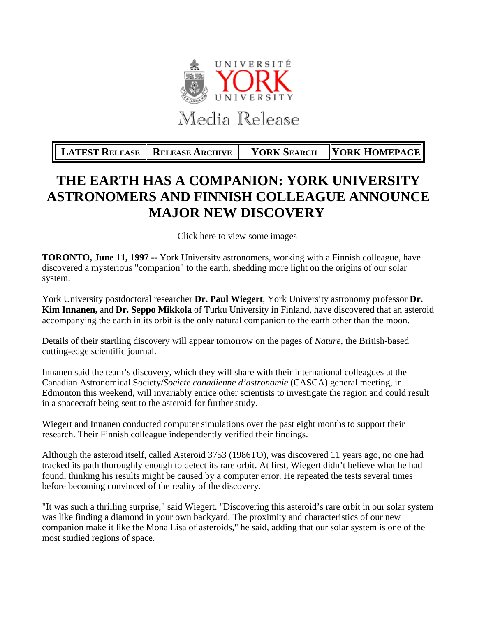

**LATEST RELEASE RELEASE ARCHIVE YORK SEARCH YORK HOMEPAGE**

## **THE EARTH HAS A COMPANION: YORK UNIVERSITY ASTRONOMERS AND FINNISH COLLEAGUE ANNOUNCE MAJOR NEW DISCOVERY**

Click here to view some images

**TORONTO, June 11, 1997 --** York University astronomers, working with a Finnish colleague, have discovered a mysterious "companion" to the earth, shedding more light on the origins of our solar system.

York University postdoctoral researcher **Dr. Paul Wiegert**, York University astronomy professor **Dr. Kim Innanen,** and **Dr. Seppo Mikkola** of Turku University in Finland, have discovered that an asteroid accompanying the earth in its orbit is the only natural companion to the earth other than the moon.

Details of their startling discovery will appear tomorrow on the pages of *Nature*, the British-based cutting-edge scientific journal.

Innanen said the team's discovery, which they will share with their international colleagues at the Canadian Astronomical Society/*Societe canadienne d'astronomie* (CASCA) general meeting, in Edmonton this weekend, will invariably entice other scientists to investigate the region and could result in a spacecraft being sent to the asteroid for further study.

Wiegert and Innanen conducted computer simulations over the past eight months to support their research. Their Finnish colleague independently verified their findings.

Although the asteroid itself, called Asteroid 3753 (1986TO), was discovered 11 years ago, no one had tracked its path thoroughly enough to detect its rare orbit. At first, Wiegert didn't believe what he had found, thinking his results might be caused by a computer error. He repeated the tests several times before becoming convinced of the reality of the discovery.

"It was such a thrilling surprise," said Wiegert. "Discovering this asteroid's rare orbit in our solar system was like finding a diamond in your own backyard. The proximity and characteristics of our new companion make it like the Mona Lisa of asteroids," he said, adding that our solar system is one of the most studied regions of space.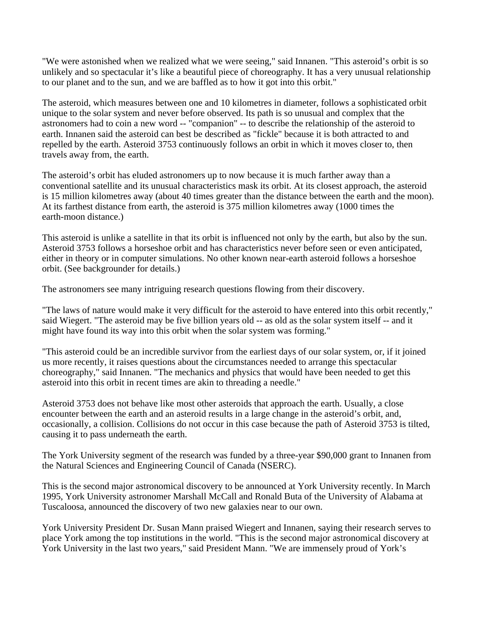"We were astonished when we realized what we were seeing," said Innanen. "This asteroid's orbit is so unlikely and so spectacular it's like a beautiful piece of choreography. It has a very unusual relationship to our planet and to the sun, and we are baffled as to how it got into this orbit."

The asteroid, which measures between one and 10 kilometres in diameter, follows a sophisticated orbit unique to the solar system and never before observed. Its path is so unusual and complex that the astronomers had to coin a new word -- "companion" -- to describe the relationship of the asteroid to earth. Innanen said the asteroid can best be described as "fickle" because it is both attracted to and repelled by the earth. Asteroid 3753 continuously follows an orbit in which it moves closer to, then travels away from, the earth.

The asteroid's orbit has eluded astronomers up to now because it is much farther away than a conventional satellite and its unusual characteristics mask its orbit. At its closest approach, the asteroid is 15 million kilometres away (about 40 times greater than the distance between the earth and the moon). At its farthest distance from earth, the asteroid is 375 million kilometres away (1000 times the earth-moon distance.)

This asteroid is unlike a satellite in that its orbit is influenced not only by the earth, but also by the sun. Asteroid 3753 follows a horseshoe orbit and has characteristics never before seen or even anticipated, either in theory or in computer simulations. No other known near-earth asteroid follows a horseshoe orbit. (See backgrounder for details.)

The astronomers see many intriguing research questions flowing from their discovery.

"The laws of nature would make it very difficult for the asteroid to have entered into this orbit recently," said Wiegert. "The asteroid may be five billion years old -- as old as the solar system itself -- and it might have found its way into this orbit when the solar system was forming."

"This asteroid could be an incredible survivor from the earliest days of our solar system, or, if it joined us more recently, it raises questions about the circumstances needed to arrange this spectacular choreography," said Innanen. "The mechanics and physics that would have been needed to get this asteroid into this orbit in recent times are akin to threading a needle."

Asteroid 3753 does not behave like most other asteroids that approach the earth. Usually, a close encounter between the earth and an asteroid results in a large change in the asteroid's orbit, and, occasionally, a collision. Collisions do not occur in this case because the path of Asteroid 3753 is tilted, causing it to pass underneath the earth.

The York University segment of the research was funded by a three-year \$90,000 grant to Innanen from the Natural Sciences and Engineering Council of Canada (NSERC).

This is the second major astronomical discovery to be announced at York University recently. In March 1995, York University astronomer Marshall McCall and Ronald Buta of the University of Alabama at Tuscaloosa, announced the discovery of two new galaxies near to our own.

York University President Dr. Susan Mann praised Wiegert and Innanen, saying their research serves to place York among the top institutions in the world. "This is the second major astronomical discovery at York University in the last two years," said President Mann. "We are immensely proud of York's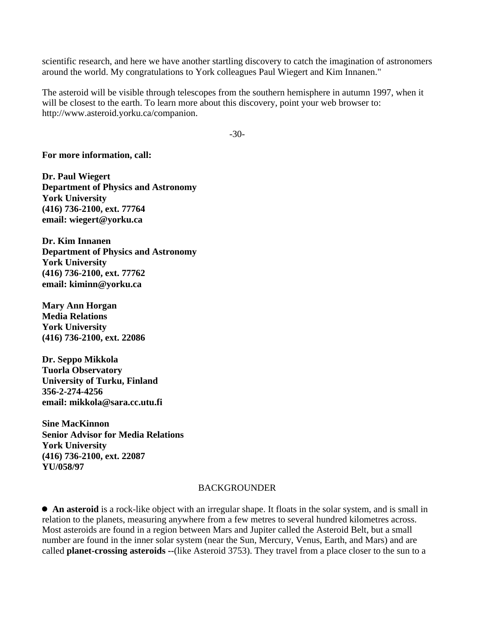scientific research, and here we have another startling discovery to catch the imagination of astronomers around the world. My congratulations to York colleagues Paul Wiegert and Kim Innanen."

The asteroid will be visible through telescopes from the southern hemisphere in autumn 1997, when it will be closest to the earth. To learn more about this discovery, point your web browser to: http://www.asteroid.yorku.ca/companion.

-30-

**For more information, call:**

**Dr. Paul Wiegert Department of Physics and Astronomy York University (416) 736-2100, ext. 77764 email: wiegert@yorku.ca**

**Dr. Kim Innanen Department of Physics and Astronomy York University (416) 736-2100, ext. 77762 email: kiminn@yorku.ca**

**Mary Ann Horgan Media Relations York University (416) 736-2100, ext. 22086**

**Dr. Seppo Mikkola Tuorla Observatory University of Turku, Finland 356-2-274-4256 email: mikkola@sara.cc.utu.fi**

**Sine MacKinnon Senior Advisor for Media Relations York University (416) 736-2100, ext. 22087 YU/058/97**

## BACKGROUNDER

**An asteroid** is a rock-like object with an irregular shape. It floats in the solar system, and is small in relation to the planets, measuring anywhere from a few metres to several hundred kilometres across. Most asteroids are found in a region between Mars and Jupiter called the Asteroid Belt, but a small number are found in the inner solar system (near the Sun, Mercury, Venus, Earth, and Mars) and are called **planet-crossing asteroids --**(like Asteroid 3753). They travel from a place closer to the sun to a